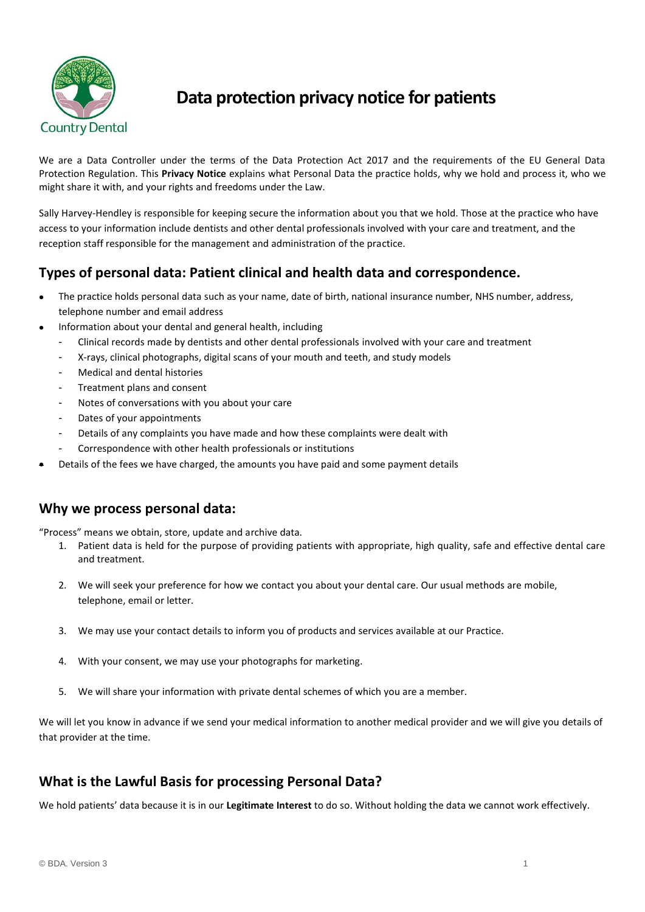

# **Data protection privacy notice for patients**

We are a Data Controller under the terms of the Data Protection Act 2017 and the requirements of the EU General Data Protection Regulation. This **Privacy Notice** explains what Personal Data the practice holds, why we hold and process it, who we might share it with, and your rights and freedoms under the Law.

Sally Harvey-Hendley is responsible for keeping secure the information about you that we hold. Those at the practice who have access to your information include dentists and other dental professionals involved with your care and treatment, and the reception staff responsible for the management and administration of the practice.

### **Types of personal data: Patient clinical and health data and correspondence.**

- The practice holds personal data such as your name, date of birth, national insurance number, NHS number, address, telephone number and email address
- Information about your dental and general health, including
	- Clinical records made by dentists and other dental professionals involved with your care and treatment
	- X-rays, clinical photographs, digital scans of your mouth and teeth, and study models
	- Medical and dental histories
	- Treatment plans and consent
	- Notes of conversations with you about your care
	- Dates of your appointments
	- Details of any complaints you have made and how these complaints were dealt with
	- Correspondence with other health professionals or institutions
- Details of the fees we have charged, the amounts you have paid and some payment details

#### **Why we process personal data:**

"Process" means we obtain, store, update and archive data.

- 1. Patient data is held for the purpose of providing patients with appropriate, high quality, safe and effective dental care and treatment.
- 2. We will seek your preference for how we contact you about your dental care. Our usual methods are mobile, telephone, email or letter.
- 3. We may use your contact details to inform you of products and services available at our Practice.
- 4. With your consent, we may use your photographs for marketing.
- 5. We will share your information with private dental schemes of which you are a member.

We will let you know in advance if we send your medical information to another medical provider and we will give you details of that provider at the time.

### **What is the Lawful Basis for processing Personal Data?**

We hold patients' data because it is in our **Legitimate Interest** to do so. Without holding the data we cannot work effectively.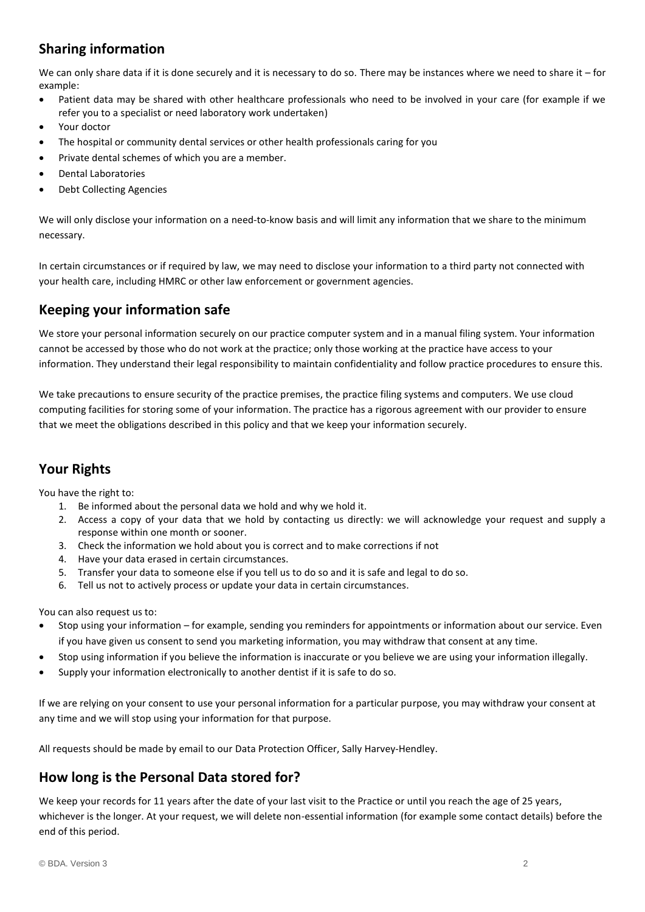### **Sharing information**

We can only share data if it is done securely and it is necessary to do so. There may be instances where we need to share it – for example:

- Patient data may be shared with other healthcare professionals who need to be involved in your care (for example if we refer you to a specialist or need laboratory work undertaken)
- Your doctor
- The hospital or community dental services or other health professionals caring for you
- Private dental schemes of which you are a member.
- Dental Laboratories
- Debt Collecting Agencies

We will only disclose your information on a need-to-know basis and will limit any information that we share to the minimum necessary.

In certain circumstances or if required by law, we may need to disclose your information to a third party not connected with your health care, including HMRC or other law enforcement or government agencies.

#### **Keeping your information safe**

We store your personal information securely on our practice computer system and in a manual filing system. Your information cannot be accessed by those who do not work at the practice; only those working at the practice have access to your information. They understand their legal responsibility to maintain confidentiality and follow practice procedures to ensure this.

We take precautions to ensure security of the practice premises, the practice filing systems and computers. We use cloud computing facilities for storing some of your information. The practice has a rigorous agreement with our provider to ensure that we meet the obligations described in this policy and that we keep your information securely.

### **Your Rights**

You have the right to:

- 1. Be informed about the personal data we hold and why we hold it.
- 2. Access a copy of your data that we hold by contacting us directly: we will acknowledge your request and supply a response within one month or sooner.
- 3. Check the information we hold about you is correct and to make corrections if not
- 4. Have your data erased in certain circumstances.
- 5. Transfer your data to someone else if you tell us to do so and it is safe and legal to do so.
- 6. Tell us not to actively process or update your data in certain circumstances.

You can also request us to:

- Stop using your information for example, sending you reminders for appointments or information about our service. Even if you have given us consent to send you marketing information, you may withdraw that consent at any time.
- Stop using information if you believe the information is inaccurate or you believe we are using your information illegally.
- Supply your information electronically to another dentist if it is safe to do so.

If we are relying on your consent to use your personal information for a particular purpose, you may withdraw your consent at any time and we will stop using your information for that purpose.

All requests should be made by email to our Data Protection Officer, Sally Harvey-Hendley.

#### **How long is the Personal Data stored for?**

We keep your records for 11 years after the date of your last visit to the Practice or until you reach the age of 25 years, whichever is the longer. At your request, we will delete non-essential information (for example some contact details) before the end of this period.